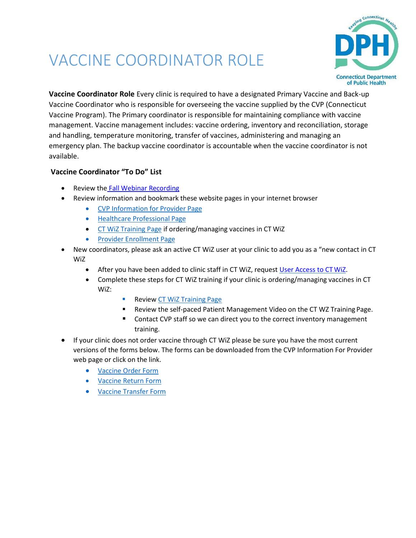## VACCINE COORDINATOR ROLE



**Vaccine Coordinator Role** Every clinic is required to have a designated Primary Vaccine and Back-up Vaccine Coordinator who is responsible for overseeing the vaccine supplied by the CVP (Connecticut Vaccine Program). The Primary coordinator is responsible for maintaining compliance with vaccine management. Vaccine management includes: vaccine ordering, inventory and reconciliation, storage and handling, temperature monitoring, transfer of vaccines, administering and managing an emergency plan. The backup vaccine coordinator is accountable when the vaccine coordinator is not available.

## **Vaccine Coordinator "To Do" List**

- Review the [Fall Webinar Recording](https://publichealth.mediasite.com/mediasite/Play/1b1a2ca9c63b4fa284e5da1a9fad42771d)
- Review information and bookmark these website pages in your internet browser
	- [CVP Information for Provider](https://portal.ct.gov/DPH/Immunizations/CVP---Information-for-Providers) Page
	- **•** [Healthcare Professional](https://portal.ct.gov/DPH/Immunizations/Immunization-Information-for-Health-Professionals) Page
	- [CT WiZ Training Page](https://portal.ct.gov/DPH/Immunizations/CT-WiZ-Training) if ordering/managing vaccines in CT WiZ
	- [Provider Enrollment](https://portal.ct.gov/DPH/Immunizations/CVP--Provider-Profile-Enrollment_Reenrollment) Page
- New coordinators, please ask an active CT WiZ user at your clinic to add you as a "new contact in CT WiZ
	- After you have been added to clinic staff in CT WiZ, request [User Access to CTWiZ.](https://ctwiz.dph.ct.gov/ctwiz/UserRegistration/NewRegistration)
	- Complete these steps for CT WiZ training if your clinic is ordering/managing vaccines in CT WiZ:
		- Review [CT WiZ Training](https://portal.ct.gov/DPH/Immunizations/CT-WiZ-Training) Page
		- Review the self-paced Patient Management Video on the CT WZ Training Page.
		- Contact CVP staff so we can direct you to the correct inventory management training.
- If your clinic does not order vaccine through CT WiZ please be sure you have the most current versions of the forms below. The forms can be downloaded from the CVP Information For Provider web page or click on the link.
	- [Vaccine Order Form](https://portal.ct.gov/-/media/Departments-and-Agencies/DPH/dph/infectious_diseases/immunization/CVP-2020/CVP-Vaccine-Order-Form-3_18_20.pdf)
	- [Vaccine Return](https://portal.ct.gov/-/media/Departments-and-Agencies/DPH/dph/infectious_diseases/immunization/CVP-2020/Vaccine-Return-Form--03_18_20.pdf) Form
	- [Vaccine Transfer Form](https://portal.ct.gov/-/media/Departments-and-Agencies/DPH/dph/infectious_diseases/immunization/CVP-2020/TransferForm-03_18-20.pdf)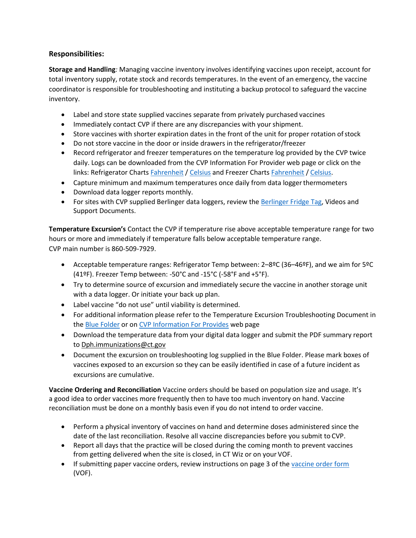## **Responsibilities:**

**Storage and Handling***:* Managing vaccine inventory involves identifying vaccines upon receipt, account for total inventory supply, rotate stock and records temperatures. In the event of an emergency, the vaccine coordinator is responsible for troubleshooting and instituting a backup protocol to safeguard the vaccine inventory.

- Label and store state supplied vaccines separate from privately purchased vaccines
- Immediately contact CVP if there are any discrepancies with your shipment.
- Store vaccines with shorter expiration dates in the front of the unit for proper rotation ofstock
- Do not store vaccine in the door or inside drawers in the refrigerator/freezer
- Record refrigerator and freezer temperatures on the temperature log provided by the CVP twice daily. Logs can be downloaded from the CVP Information For Provider web page or click on the links: Refrigerator Charts [Fahrenheit](https://portal.ct.gov/-/media/Departments-and-Agencies/DPH/dph/infectious_diseases/immunization/cvp/70-71-Temperature-Logs-Refrigerator-F.pdf?la=en) / [Celsius](https://portal.ct.gov/-/media/Departments-and-Agencies/DPH/dph/infectious_diseases/immunization/cvp/5556templogchartsrefrigcelsiusp3037c813-pdf.pdf?la=en) and Freezer Charts [Fahrenheit](https://portal.ct.gov/-/media/Departments-and-Agencies/DPH/dph/infectious_diseases/immunization/cvp/31templogchartsfreezer813-pdf.pdf?la=en) / [Celsius.](https://portal.ct.gov/-/media/Departments-and-Agencies/DPH/dph/infectious_diseases/immunization/cvp/5758templogchartsfreezercelsiusp3038c913-pdf.pdf?la=en)
- Capture minimum and maximum temperatures once daily from data loggerthermometers
- Download data logger reports monthly.
- For sites with CVP supplied Berlinger data loggers, review the [Berlinger Fridge Tag, V](http://www.berlingerusa.com/support/)ideos and Support Documents.

**Temperature Excursion's** Contact the CVP if temperature rise above acceptable temperature range for two hours or more and immediately if temperature falls below acceptable temperature range. CVP main number is 860-509-7929.

- Acceptable temperature ranges: Refrigerator Temp between: 2–8ºC (36–46ºF), and we aim for 5ºC (41ºF). Freezer Temp between: -50°C and -15°C (-58°F and +5°F).
- Try to determine source of excursion and immediately secure the vaccine in another storage unit with a data logger. Or initiate your back up plan.
- Label vaccine "do not use" until viability is determined.
- For additional information please refer to the Temperature Excursion Troubleshooting Document in the **[Blue Folder](https://portal.ct.gov/-/media/Departments-and-Agencies/DPH/dph/infectious_diseases/immunization/cvp/Blue-Folder-All-condensed.pdf?la=en)** or on [CVP Information For Provides](https://portal.ct.gov/DPH/Immunizations/CVP---Information-for-Providers) web page
- Download the temperature data from your digital data logger and submit the PDF summary report to [Dph.immunizations@ct.gov](mailto:Dph.immunizations@ct.gov)
- Document the excursion on troubleshooting log supplied in the [Blue Folder. P](https://portal.ct.gov/-/media/Departments-and-Agencies/DPH/dph/infectious_diseases/immunization/cvp/Blue-Folder-All-condensed.pdf?la=en)lease mark boxes of vaccines exposed to an excursion so they can be easily identified in case of a future incident as excursions are cumulative.

**Vaccine Ordering and Reconciliation** Vaccine orders should be based on population size and usage. It's a good idea to order vaccines more frequently then to have too much inventory on hand. Vaccine reconciliation must be done on a monthly basis even if you do not intend to order vaccine.

- Perform a physical inventory of vaccines on hand and determine doses administered since the date of the last reconciliation. Resolve all vaccine discrepancies before you submit to CVP.
- Report all days that the practice will be closed during the coming month to prevent vaccines from getting delivered when the site is closed, in CT Wiz or on your VOF.
- If submitting paper vaccine orders, review instructions on page 3 of the [vaccine order form](https://portal.ct.gov/-/media/Departments-and-Agencies/DPH/dph/infectious_diseases/immunization/CVP-2020/CVP-Vaccine-Order-Form-3_18_20.pdf) (VOF).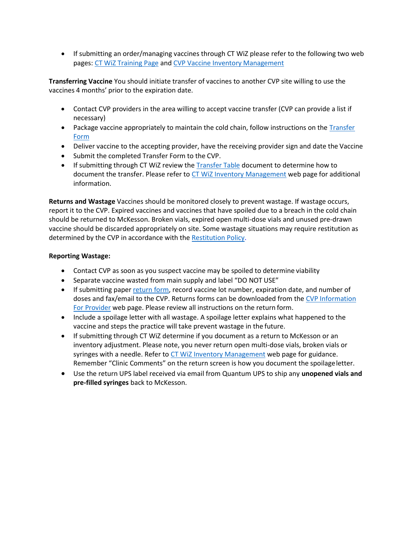• If submitting an order/managing vaccines through CT WiZ please refer to the following two web pages: [CT WiZ Training Page](https://portal.ct.gov/DPH/Immunizations/CT-WiZ-Training) and [CVP Vaccine Inventory](https://portal.ct.gov/DPH/Immunizations/CVP-Vaccine-Inventory-Management) Management

**Transferring Vaccine** You should initiate transfer of vaccines to another CVP site willing to use the vaccines 4 months' prior to the expiration date.

- Contact CVP providers in the area willing to accept vaccine transfer (CVP can provide a list if necessary)
- Package vaccine appropriately to maintain the cold chain, follow instructions on the [Transfer](https://portal.ct.gov/-/media/Departments-and-Agencies/DPH/dph/infectious_diseases/immunization/CVP-2020/TransferForm-03_18-20.pdf) [Form](https://portal.ct.gov/-/media/Departments-and-Agencies/DPH/dph/infectious_diseases/immunization/CVP-2020/TransferForm-03_18-20.pdf)
- Deliver vaccine to the accepting provider, have the receiving provider sign and date the Vaccine
- Submit the completed Transfer Form to the CVP.
- If submitting through CT WiZ review the [Transfer Table](https://portal.ct.gov/-/media/Departments-and-Agencies/DPH/dph/infectious_diseases/immunization/CT-WIZ/Transfers-Table.pdf?la=en) document to determine how to document the transfer. Please refer to [CT WiZ Inventory Management](https://portal.ct.gov/DPH/Immunizations/CVP-Vaccine-Inventory-Management) web page for additional information.

**Returns and Wastage** Vaccines should be monitored closely to prevent wastage. If wastage occurs, report it to the CVP. Expired vaccines and vaccines that have spoiled due to a breach in the cold chain should be returned to McKesson. Broken vials, expired open multi-dose vials and unused pre-drawn vaccine should be discarded appropriately on site. Some wastage situations may require restitution as determined by the CVP in accordance with the [Restitution Policy.](https://portal.ct.gov/-/media/Departments-and-Agencies/DPH/dph/infectious_diseases/immunization/cvp/VaccineRestitutionPolicypdf.pdf?la=en)

## **Reporting Wastage:**

- Contact CVP as soon as you suspect vaccine may be spoiled to determine viability
- Separate vaccine wasted from main supply and label "DO NOT USE"
- If submitting paper [return form, r](https://portal.ct.gov/-/media/Departments-and-Agencies/DPH/dph/infectious_diseases/immunization/CVP-2020/Vaccine-Return-Form--03_18_20.pdf)ecord vaccine lot number, expiration date, and number of doses and fax/email to the CVP. Returns forms can be downloaded from the [CVP Information](https://portal.ct.gov/DPH/Immunizations/CVP---Information-for-Providers) [For Provider](https://portal.ct.gov/DPH/Immunizations/CVP---Information-for-Providers) web page. Please review all instructions on the return form.
- Include a spoilage letter with all wastage. A spoilage letter explains what happened to the vaccine and steps the practice will take prevent wastage in the future.
- If submitting through CT WiZ determine if you document as a return to McKesson or an inventory adjustment. Please note, you never return open multi-dose vials, broken vials or syringes with a needle. Refer to [CT WiZ Inventory Management](https://portal.ct.gov/DPH/Immunizations/CVP-Vaccine-Inventory-Management) web page for guidance. Remember "Clinic Comments" on the return screen is how you document the spoilageletter.
- Use the return UPS label received via email from Quantum UPS to ship any **unopened vials and pre-filled syringes** back to McKesson.